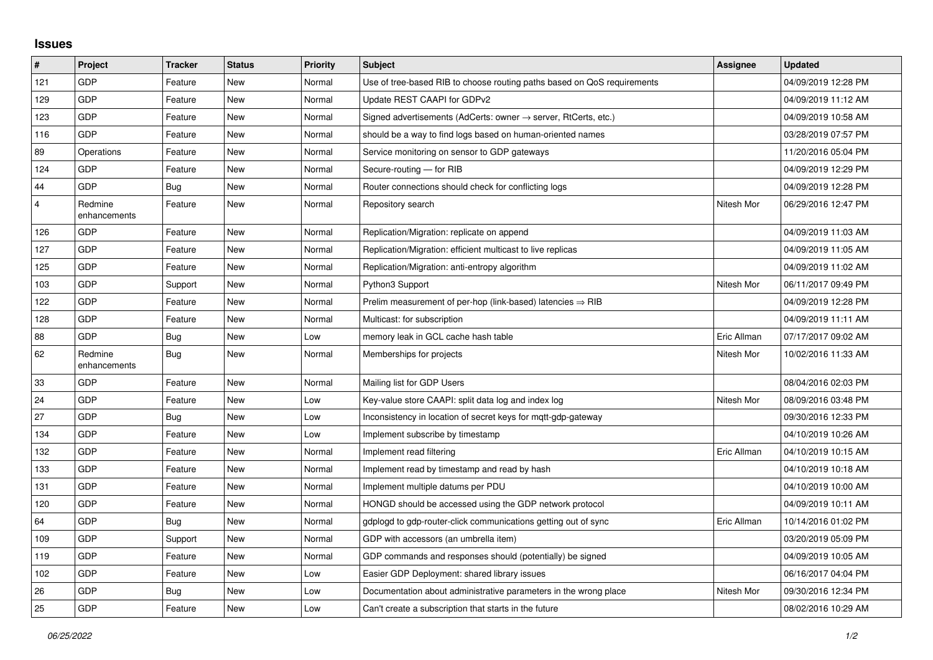## **Issues**

| #              | Project                 | <b>Tracker</b> | <b>Status</b> | <b>Priority</b> | <b>Subject</b>                                                          | <b>Assignee</b> | <b>Updated</b>      |
|----------------|-------------------------|----------------|---------------|-----------------|-------------------------------------------------------------------------|-----------------|---------------------|
| 121            | GDP                     | Feature        | <b>New</b>    | Normal          | Use of tree-based RIB to choose routing paths based on QoS requirements |                 | 04/09/2019 12:28 PM |
| 129            | GDP                     | Feature        | <b>New</b>    | Normal          | Update REST CAAPI for GDPv2                                             |                 | 04/09/2019 11:12 AM |
| 123            | GDP                     | Feature        | <b>New</b>    | Normal          | Signed advertisements (AdCerts: owner → server, RtCerts, etc.)          |                 | 04/09/2019 10:58 AM |
| 116            | GDP                     | Feature        | <b>New</b>    | Normal          | should be a way to find logs based on human-oriented names              |                 | 03/28/2019 07:57 PM |
| 89             | Operations              | Feature        | New           | Normal          | Service monitoring on sensor to GDP gateways                            |                 | 11/20/2016 05:04 PM |
| 124            | <b>GDP</b>              | Feature        | New           | Normal          | Secure-routing - for RIB                                                |                 | 04/09/2019 12:29 PM |
| 44             | GDP                     | Bug            | New           | Normal          | Router connections should check for conflicting logs                    |                 | 04/09/2019 12:28 PM |
| $\overline{4}$ | Redmine<br>enhancements | Feature        | <b>New</b>    | Normal          | Repository search                                                       | Nitesh Mor      | 06/29/2016 12:47 PM |
| 126            | GDP                     | Feature        | New           | Normal          | Replication/Migration: replicate on append                              |                 | 04/09/2019 11:03 AM |
| 127            | GDP                     | Feature        | <b>New</b>    | Normal          | Replication/Migration: efficient multicast to live replicas             |                 | 04/09/2019 11:05 AM |
| 125            | GDP                     | Feature        | New           | Normal          | Replication/Migration: anti-entropy algorithm                           |                 | 04/09/2019 11:02 AM |
| 103            | GDP                     | Support        | <b>New</b>    | Normal          | Python3 Support                                                         | Nitesh Mor      | 06/11/2017 09:49 PM |
| 122            | GDP                     | Feature        | <b>New</b>    | Normal          | Prelim measurement of per-hop (link-based) latencies $\Rightarrow$ RIB  |                 | 04/09/2019 12:28 PM |
| 128            | GDP                     | Feature        | New           | Normal          | Multicast: for subscription                                             |                 | 04/09/2019 11:11 AM |
| 88             | GDP                     | Bug            | <b>New</b>    | Low             | memory leak in GCL cache hash table                                     | Eric Allman     | 07/17/2017 09:02 AM |
| 62             | Redmine<br>enhancements | <b>Bug</b>     | <b>New</b>    | Normal          | Memberships for projects                                                | Nitesh Mor      | 10/02/2016 11:33 AM |
| 33             | GDP                     | Feature        | <b>New</b>    | Normal          | Mailing list for GDP Users                                              |                 | 08/04/2016 02:03 PM |
| 24             | GDP                     | Feature        | <b>New</b>    | Low             | Key-value store CAAPI: split data log and index log                     | Nitesh Mor      | 08/09/2016 03:48 PM |
| 27             | GDP                     | Bug            | <b>New</b>    | Low             | Inconsistency in location of secret keys for mqtt-gdp-gateway           |                 | 09/30/2016 12:33 PM |
| 134            | GDP                     | Feature        | <b>New</b>    | Low             | Implement subscribe by timestamp                                        |                 | 04/10/2019 10:26 AM |
| 132            | GDP                     | Feature        | <b>New</b>    | Normal          | Implement read filtering                                                | Eric Allman     | 04/10/2019 10:15 AM |
| 133            | GDP                     | Feature        | <b>New</b>    | Normal          | Implement read by timestamp and read by hash                            |                 | 04/10/2019 10:18 AM |
| 131            | GDP                     | Feature        | <b>New</b>    | Normal          | Implement multiple datums per PDU                                       |                 | 04/10/2019 10:00 AM |
| 120            | GDP                     | Feature        | New           | Normal          | HONGD should be accessed using the GDP network protocol                 |                 | 04/09/2019 10:11 AM |
| 64             | GDP                     | Bug            | <b>New</b>    | Normal          | gdplogd to gdp-router-click communications getting out of sync          | Eric Allman     | 10/14/2016 01:02 PM |
| 109            | GDP                     | Support        | <b>New</b>    | Normal          | GDP with accessors (an umbrella item)                                   |                 | 03/20/2019 05:09 PM |
| 119            | GDP                     | Feature        | <b>New</b>    | Normal          | GDP commands and responses should (potentially) be signed               |                 | 04/09/2019 10:05 AM |
| 102            | GDP                     | Feature        | New           | Low             | Easier GDP Deployment: shared library issues                            |                 | 06/16/2017 04:04 PM |
| 26             | GDP                     | <b>Bug</b>     | <b>New</b>    | Low             | Documentation about administrative parameters in the wrong place        | Nitesh Mor      | 09/30/2016 12:34 PM |
| 25             | GDP                     | Feature        | New           | Low             | Can't create a subscription that starts in the future                   |                 | 08/02/2016 10:29 AM |